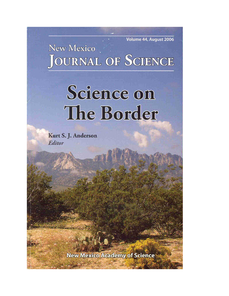Volume 44, August 2006

New Mexico **JOURNAL OF SCIENCE** 

## Science on The Border

Kurt S. J. Anderson Editor

**New Mexico Academy of Science**